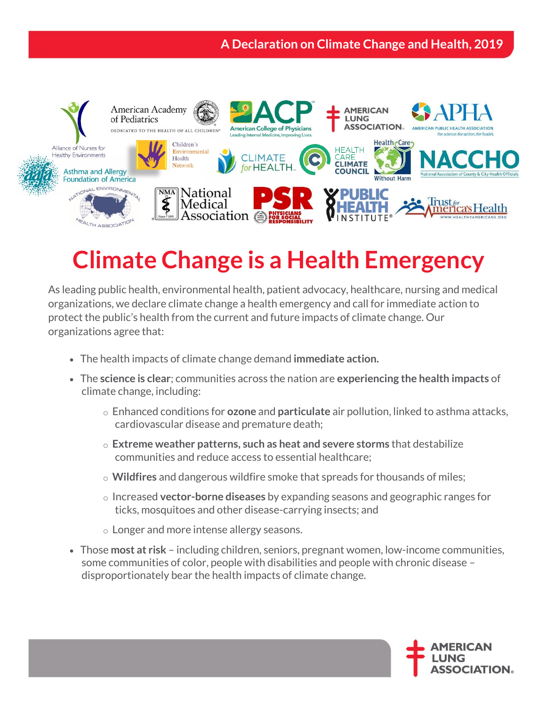## **A Declaration on Climate Change and Health, 2019**



## **Climate Change is a Health Emergency**

As leading public health, environmental health, patient advocacy, healthcare, nursing and medical organizations, we declare climate change a health emergency and call for immediate action to protect the public's health from the current and future impacts of climate change. Our organizations agree that:

- The health impacts of climate change demand **immediate action.**
- The **science is clear**; communities across the nation are **experiencing the health impacts** of climate change, including:
	- o Enhanced conditions for **ozone** and **particulate** air pollution, linked to asthma attacks, cardiovascular disease and premature death;
	- o **Extreme weather patterns, such as heat and severe storms** that destabilize communities and reduce access to essential healthcare;
	- o **Wildfires** and dangerous wildfire smoke that spreads for thousands of miles;
	- o Increased **vector-borne diseases** by expanding seasons and geographic ranges for ticks, mosquitoes and other disease-carrying insects; and
	- o Longer and more intense allergy seasons.
- Those **most at risk** including children, seniors, pregnant women, low-income communities, some communities of color, people with disabilities and people with chronic disease – disproportionately bear the health impacts of climate change.